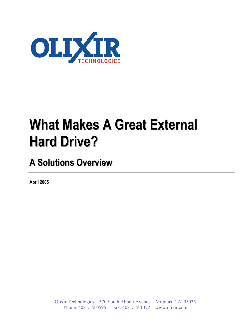

# **What Makes A Great External Hard Drive?**

**A Solutions Overview**

**April 2005**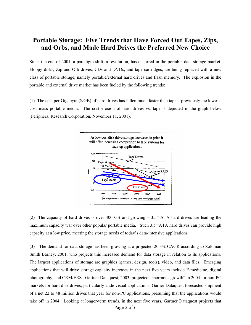# **Portable Storage: Five Trends that Have Forced Out Tapes, Zips, and Orbs, and Made Hard Drives the Preferred New Choice**

Since the end of 2001, a paradigm shift, a revolution, has occurred in the portable data storage market. Floppy disks, Zip and Orb drives, CDs and DVDs, and tape cartridges, are being replaced with a new class of portable storage, namely portable/external hard drives and flash memory. The explosion in the portable and external drive market has been fueled by the following trends:

(1) The cost per Gigabyte (\$/GB) of hard drives has fallen much faster than tape – previously the lowestcost mass portable media. The cost erosion of hard drives vs. tape is depicted in the graph below (Peripheral Research Corporation, November 11, 2001).



(2) The capacity of hard drives is over 400 GB and growing – 3.5" ATA hard drives are leading the maximum capacity war over other popular portable media. Such 3.5" ATA hard drives can provide high capacity at a low price, meeting the storage needs of today's data-intensive applications.

(3) The demand for data storage has been growing at a projected 20.3% CAGR according to Soloman Smith Barney, 2001, who projects this increased demand for data storage in relation to its applications. The largest applications of storage are graphics (games, design, tools), video, and data files. Emerging applications that will drive storage capacity increases in the next five years include E-medicine, digital photography, and CRM/ERS. Gartner Dataquest, 2003, projected "enormous growth" in 2004 for non-PC markets for hard disk drives, particularly audiovisual applications. Garner Dataquest forecasted shipment of a net 22 to 48 million drives that year for non-PC applications, presuming that the applications would take off in 2004. Looking at longer-term trends, in the next five years, Gartner Dataquest projects that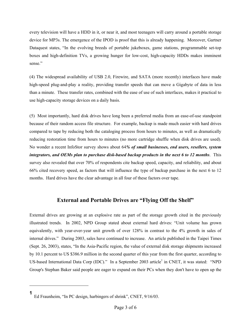every television will have a HDD in it, or near it, and most teenagers will carry around a portable storage device for MP3s. The emergence of the IPOD is proof that this is already happening. Moreover, Gartner Dataquest states, "In the evolving breeds of portable jukeboxes, game stations, programmable set-top boxes and high-definition TVs, a growing hunger for low-cost, high-capacity HDDs makes imminent sense."

(4) The widespread availability of USB 2.0, Firewire, and SATA (more recently) interfaces have made high-speed plug-and-play a reality, providing transfer speeds that can move a Gigabyte of data in less than a minute. These transfer rates, combined with the ease of use of such interfaces, makes it practical to use high-capacity storage devices on a daily basis.

(5) Most importantly, hard disk drives have long been a preferred media from an ease-of-use standpoint because of their random access file structure. For example, backup is made much easier with hard drives compared to tape by reducing both the cataloging process from hours to minutes, as well as dramatically reducing restoration time from hours to minutes (no more cartridge shuffle when disk drives are used). No wonder a recent InfoStor survey shows about 64*% of small businesses, end users, resellers, system integrators, and OEMs plan to purchase disk-based backup products in the next 6 to 12 months*. This survey also revealed that over 70% of respondents cite backup speed, capacity, and reliability, and about 66% cited recovery speed, as factors that will influence the type of backup purchase in the next 6 to 12 months. Hard drives have the clear advantage in all four of these factors over tape.

#### **External and Portable Drives are "Flying Off the Shelf"**

External drives are growing at an explosive rate as part of the storage growth cited in the previously illustrated trends. In 2002, NPD Group stated about external hard drives: "Unit volume has grown equivalently, with year-over-year unit growth of over 128% in contrast to the 4% growth in sales of internal drives." During 2003, sales have continued to increase. An article published in the Taipei Times (Sept. 26, 2003), states, "In the Asia-Pacific region, the value of external disk storage shipments increased by 10.1 percent to US \$386.9 million in the second quarter of this year from the first quarter, according to US-based International Data Corp (IDC)." In a September 2003 article<sup>1</sup> in CNET, it was stated: "NPD Group's Stephan Baker said people are eager to expand on their PCs when they don't have to open up the

 $\overline{a}$ 

**<sup>1</sup>** Ed Fraunheim, "In PC design, harbingers of shrink", CNET, 9/16/03.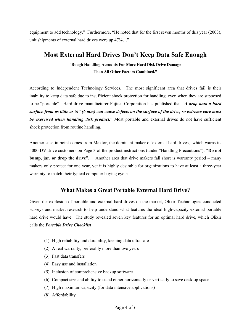equipment to add technology." Furthermore, "He noted that for the first seven months of this year (2003), unit shipments of external hard drives were up 47%…"

## **Most External Hard Drives Don't Keep Data Safe Enough**

#### "**Rough Handling Accounts For More Hard Disk Drive Damage Than All Other Factors Combined."**

According to Independent Technology Services. The most significant area that drives fail is their inability to keep data safe due to insufficient shock protection for handling, even when they are supposed to be "portable". Hard drive manufacturer Fujitsu Corporation has published that *"A drop onto a hard surface from as little as ¼" (6 mm) can cause defects on the surface of the drive, so extreme care must be exercised when handling disk product.*" Most portable and external drives do not have sufficient shock protection from routine handling.

Another case in point comes from Maxtor, the dominant maker of external hard drives, which warns its 5000 DV drive customers on Page 3 of the product instructions (under "Handling Precautions"): **"Do not bump, jar, or drop the drive".** Another area that drive makers fall short is warranty period – many makers only protect for one year, yet it is highly desirable for organizations to have at least a three-year warranty to match their typical computer buying cycle.

### **What Makes a Great Portable External Hard Drive?**

Given the explosion of portable and external hard drives on the market, Olixir Technologies conducted surveys and market research to help understand what features the ideal high-capacity external portable hard drive would have. The study revealed seven key features for an optimal hard drive, which Olixir calls the *Portable Drive Checklist* :

- (1) High reliability and durability, keeping data ultra safe
- (2) A real warranty, preferably more than two years
- (3) Fast data transfers
- (4) Easy use and installation
- (5) Inclusion of comprehensive backup software
- (6) Compact size and ability to stand either horizontally or vertically to save desktop space
- (7) High maximum capacity (for data intensive applications)
- (8) Affordability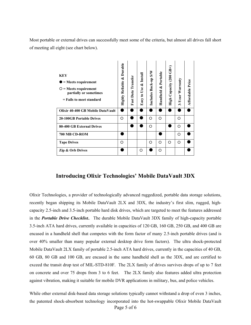Most portable or external drives can successfully meet some of the criteria, but almost all drives fall short of meeting all eight (see chart below).

| <b>KEY</b><br>$=$ Meets requirement<br>$=$ Meets requirement<br>partially or sometimes<br>$=$ Fails to meet standard | Highly Reliable & Durable | Fast Data Transfer | Easy to Use & Install | Includes Back-up S/W | Handheld & Portable | High Capacity (200 GB+) | Warranty<br>3-Year | <b>Affordable Price</b> |
|----------------------------------------------------------------------------------------------------------------------|---------------------------|--------------------|-----------------------|----------------------|---------------------|-------------------------|--------------------|-------------------------|
| Olixir 40-400 GB Mobile DataVault                                                                                    |                           |                    |                       |                      |                     |                         |                    |                         |
| <b>20-100GB Portable Drives</b>                                                                                      | O                         |                    |                       | O                    | O                   |                         | O                  |                         |
| 80-400 GB External Drives                                                                                            |                           |                    |                       | O                    |                     |                         | O                  |                         |
| 700 MB CD-ROM                                                                                                        |                           |                    |                       |                      |                     |                         | O                  |                         |
| <b>Tape Drives</b>                                                                                                   | O                         |                    |                       | O                    | O                   | O                       | O                  |                         |
| <b>Zip &amp; Orb Drives</b>                                                                                          |                           |                    | O                     |                      | Ω                   |                         |                    |                         |

#### **Introducing Olixir Technologies' Mobile DataVault 3DX**

Olixir Technologies, a provider of technologically advanced ruggedized, portable data storage solutions, recently began shipping its Mobile DataVault 2LX and 3DX, the industry's first slim, rugged, highcapacity 2.5-inch and 3.5-inch portable hard disk drives, which are targeted to meet the features addressed in the *Portable Drive Checklist..* The durable Mobile DataVault 3DX family of high-capacity portable 3.5-inch ATA hard drives, currently available in capacities of 120 GB, 160 GB, 250 GB, and 400 GB are encased in a handheld shell that competes with the form factor of many 2.5-inch portable drives (and is over 40% smaller than many popular external desktop drive form factors). The ultra shock-protected Mobile DataVault 2LX family of portable 2.5-inch ATA hard drives, currently in the capacities of 40 GB, 60 GB, 80 GB and 100 GB, are encased in the same handheld shell as the 3DX, and are certified to exceed the transit drop test of MIL-STD-810F. The 2LX family of drives survives drops of up to 7 feet on concrete and over 75 drops from 3 to 6 feet. The 2LX family also features added ultra protection against vibration, making it suitable for mobile DVR applications in military, bus, and police vehicles.

Page 5 of 6 While other external disk-based data storage solutions typically cannot withstand a drop of even 3 inches, the patented shock-absorbent technology incorporated into the hot-swappable Olixir Mobile DataVault